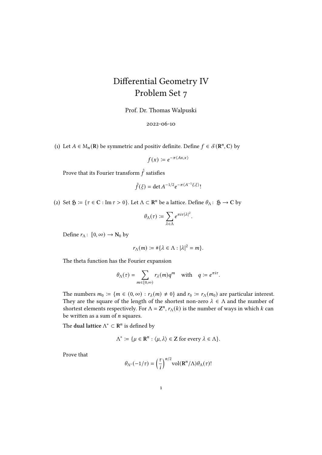## Differential Geometry IV Problem Set 7

Prof. Dr. Thomas Walpuski

2022-06-10

(1) Let  $A \in M_n(\mathbf{R})$  be symmetric and positiv definite. Define  $f \in \mathcal{S}(\mathbf{R}^n, \mathbf{C})$  by

$$
f(x) \coloneqq e^{-\pi \langle Ax, x \rangle}
$$

Prove that its Fourier transform  $\hat{f}$  satisfies

$$
\hat{f}(\xi) = \det A^{-1/2} e^{-\pi \langle A^{-1}\xi, \xi \rangle}!
$$

(2) Set  $\mathfrak{H} := \{ \tau \in \mathbf{C} : \text{Im } \tau > 0 \}$ . Let  $\Lambda \subset \mathbf{R}^n$  be a lattice. Define  $\theta_\Lambda : \mathfrak{H} \to \mathbf{C}$  by

$$
\theta_\Lambda(\tau) \coloneqq \sum_{\lambda \in \Lambda} e^{\pi i \tau |\lambda|^2}
$$

.

Define  $r_{\Lambda}$ :  $[0, \infty) \rightarrow N_0$  by

$$
r_{\Lambda}(m) := \#\{\lambda \in \Lambda : |\lambda|^2 = m\}.
$$

The theta function has the Fourier expansion

$$
\theta_\Lambda(\tau)=\sum_{m\in[0,\infty)}r_\lambda(m)q^m\quad\text{with}\quad q:=e^{\pi i\tau}.
$$

The numbers  $m_0 := \{ m \in (0, \infty) : r_\lambda(m) \neq 0 \}$  and  $r_0 := r_\Lambda(m_0)$  are particular interest. They are the square of the length of the shortest non-zero  $\lambda \in \Lambda$  and the number of shortest elements respectively. For  $\Lambda = \mathbb{Z}^n$ ,  $r_{\Lambda}(k)$  is the number of ways in which k can be written as a sum of  $n$  squares.

The dual lattice  $\Lambda^* \subset \mathbb{R}^n$  is defined by

$$
\Lambda^* := \{ \mu \in \mathbb{R}^n : \langle \mu, \lambda \rangle \in \mathbb{Z} \text{ for every } \lambda \in \Lambda \}.
$$

Prove that

$$
\theta_{\Lambda^*}(-1/\tau) = \left(\frac{\tau}{i}\right)^{n/2} \text{vol}(\mathbf{R}^n/\Lambda) \theta_\Lambda(\tau)!
$$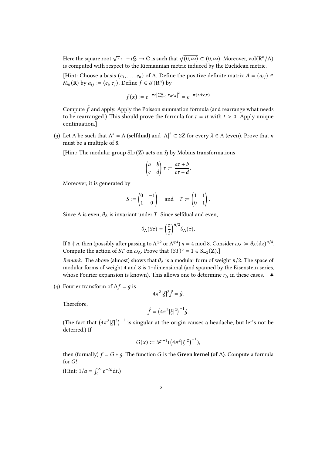Here the square root  $\sqrt{\cdot}:\ -i\mathfrak{H}\to \mathsf{C}$  is such that  $\sqrt{(0,\infty)}\subset (0,\infty).$  Moreover,  $\mathrm{vol}(\mathbf{R}^n/\Lambda)$ is computed with respect to the Riemannian metric induced by the Euclidean metric.

[Hint: Choose a basis  $(e_1, \ldots, e_n)$  of  $\Lambda$ . Define the positive definite matrix  $A = (a_{ij}) \in$  $M_n(\mathbf{R})$  by  $a_{ij} \coloneqq \langle e_i, e_j \rangle$ . Define  $f \in \mathcal{S}(\mathbf{R}^n)$  by

$$
f(x) \coloneqq e^{-\pi t \left| \sum_{a=1}^{n} x_a e_a \right|^2} = e^{-\pi \langle t A x, x \rangle}
$$

Compute  $\hat{f}$  and apply. Apply the Poisson summation formula (and rearrange what needs to be rearranged.) This should prove the formula for  $\tau = it$  with  $t > 0$ . Apply unique continuation.]

(3) Let  $\Lambda$  be such that  $\Lambda^* = \Lambda$  (selfdual) and  $|\Lambda|^2 \subset 2\mathbb{Z}$  for every  $\lambda \in \Lambda$  (even). Prove that *n* must be a multiple of 8.

[Hint: The modular group  $SL_2(\mathbb{Z})$  acts on  $\mathfrak H$  by Möbius transformations

$$
\begin{pmatrix} a & b \\ c & d \end{pmatrix} \tau := \frac{a\tau + b}{c\tau + d}.
$$

Moreover, it is generated by

$$
S := \begin{pmatrix} 0 & -1 \\ 1 & 0 \end{pmatrix} \quad \text{and} \quad T := \begin{pmatrix} 1 & 1 \\ 0 & 1 \end{pmatrix}.
$$

Since  $\Lambda$  is even,  $\theta_{\Lambda}$  is invariant under *T*. Since selfdual and even,

$$
\theta_{\Lambda}(S\tau) = \left(\frac{\tau}{i}\right)^{n/2} \theta_{\Lambda}(\tau).
$$

If 8  $\nmid n$ , then (possibly after passing to  $\Lambda^{\oplus 2}$  or  $\Lambda^{\oplus 4}$ )  $n=4$  mod 8. Consider  $\omega_{\Lambda}\coloneqq \theta_\Lambda(\mathrm{d}z)^{n/4}$ . Compute the action of *ST* on  $\omega_{\Lambda}$ . Prove that  $(ST)^3 = 1 \in SL_2(\mathbb{Z})$ .]

Remark. The above (almost) shows that  $\theta_{\Lambda}$  is a modular form of weight  $n/2$ . The space of modular forms of weight 4 and 8 is 1–dimensional (and spanned by the Eisenstein series, whose Fourier expansion is known). This allows one to determine  $r_{\Lambda}$  in these cases.  $\bullet$ 

(4) Fourier transform of  $\Delta f = q$  is

$$
4\pi^2|\xi|^2\hat{f}=\hat{g}.
$$

Therefore,

$$
\hat{f} = (4\pi^2 |\xi|^2)^{-1} \hat{g}.
$$

(The fact that  $(4\pi^2|\xi|^2)^{-1}$  is singular at the origin causes a headache, but let's not be deterred.) If

$$
G(x) := \mathcal{F}^{-1}((4\pi^2|\xi|^2)^{-1}),
$$

then (formally)  $f = G * g$ . The function G is the Green kernel (of  $\Delta$ ). Compute a formula for G!

(Hint:  $1/a = \int_0^\infty e^{-ta} dt$ .)